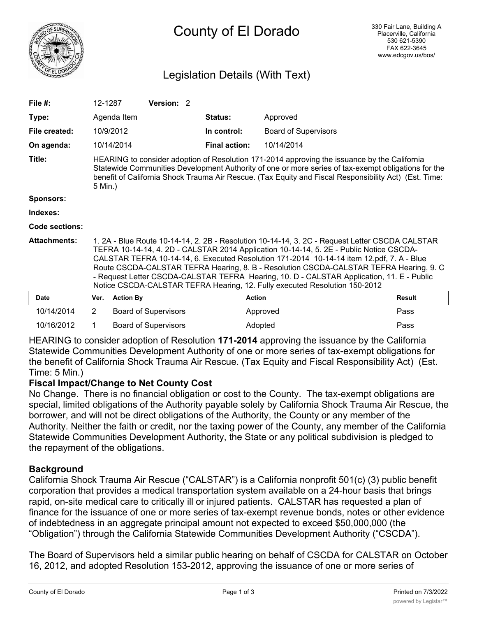

# County of El Dorado

# Legislation Details (With Text)

| File $#$ :            | 12-1287                                                                                                                                                                                                                                                                                                                                                                                                                                                                                                                                                     |                  | <b>Version: 2</b>           |  |                      |                             |               |
|-----------------------|-------------------------------------------------------------------------------------------------------------------------------------------------------------------------------------------------------------------------------------------------------------------------------------------------------------------------------------------------------------------------------------------------------------------------------------------------------------------------------------------------------------------------------------------------------------|------------------|-----------------------------|--|----------------------|-----------------------------|---------------|
| Type:                 |                                                                                                                                                                                                                                                                                                                                                                                                                                                                                                                                                             | Agenda Item      |                             |  | <b>Status:</b>       | Approved                    |               |
| File created:         |                                                                                                                                                                                                                                                                                                                                                                                                                                                                                                                                                             | 10/9/2012        |                             |  | In control:          | <b>Board of Supervisors</b> |               |
| On agenda:            |                                                                                                                                                                                                                                                                                                                                                                                                                                                                                                                                                             | 10/14/2014       |                             |  | <b>Final action:</b> | 10/14/2014                  |               |
| Title:                | HEARING to consider adoption of Resolution 171-2014 approving the issuance by the California<br>Statewide Communities Development Authority of one or more series of tax-exempt obligations for the<br>benefit of California Shock Trauma Air Rescue. (Tax Equity and Fiscal Responsibility Act) (Est. Time:<br>5 Min.)                                                                                                                                                                                                                                     |                  |                             |  |                      |                             |               |
| <b>Sponsors:</b>      |                                                                                                                                                                                                                                                                                                                                                                                                                                                                                                                                                             |                  |                             |  |                      |                             |               |
| Indexes:              |                                                                                                                                                                                                                                                                                                                                                                                                                                                                                                                                                             |                  |                             |  |                      |                             |               |
| <b>Code sections:</b> |                                                                                                                                                                                                                                                                                                                                                                                                                                                                                                                                                             |                  |                             |  |                      |                             |               |
| <b>Attachments:</b>   | 1. 2A - Blue Route 10-14-14, 2. 2B - Resolution 10-14-14, 3. 2C - Request Letter CSCDA CALSTAR<br>TEFRA 10-14-14, 4. 2D - CALSTAR 2014 Application 10-14-14, 5. 2E - Public Notice CSCDA-<br>CALSTAR TEFRA 10-14-14, 6. Executed Resolution 171-2014 10-14-14 item 12.pdf, 7. A - Blue<br>Route CSCDA-CALSTAR TEFRA Hearing, 8. B - Resolution CSCDA-CALSTAR TEFRA Hearing, 9. C<br>- Request Letter CSCDA-CALSTAR TEFRA Hearing, 10. D - CALSTAR Application, 11. E - Public<br>Notice CSCDA-CALSTAR TEFRA Hearing, 12. Fully executed Resolution 150-2012 |                  |                             |  |                      |                             |               |
| <b>Date</b>           | Ver.                                                                                                                                                                                                                                                                                                                                                                                                                                                                                                                                                        | <b>Action By</b> |                             |  | <b>Action</b>        |                             | <b>Result</b> |
| 10/14/2014            | $\overline{2}$                                                                                                                                                                                                                                                                                                                                                                                                                                                                                                                                              |                  | <b>Board of Supervisors</b> |  |                      | Approved                    | Pass          |
| 10/16/2012            |                                                                                                                                                                                                                                                                                                                                                                                                                                                                                                                                                             |                  | <b>Board of Supervisors</b> |  | Adopted              |                             | Pass          |

HEARING to consider adoption of Resolution **171-2014** approving the issuance by the California Statewide Communities Development Authority of one or more series of tax-exempt obligations for the benefit of California Shock Trauma Air Rescue. (Tax Equity and Fiscal Responsibility Act) (Est. Time: 5 Min.)

# **Fiscal Impact/Change to Net County Cost**

No Change. There is no financial obligation or cost to the County. The tax-exempt obligations are special, limited obligations of the Authority payable solely by California Shock Trauma Air Rescue, the borrower, and will not be direct obligations of the Authority, the County or any member of the Authority. Neither the faith or credit, nor the taxing power of the County, any member of the California Statewide Communities Development Authority, the State or any political subdivision is pledged to the repayment of the obligations.

# **Background**

California Shock Trauma Air Rescue ("CALSTAR") is a California nonprofit 501(c) (3) public benefit corporation that provides a medical transportation system available on a 24-hour basis that brings rapid, on-site medical care to critically ill or injured patients. CALSTAR has requested a plan of finance for the issuance of one or more series of tax-exempt revenue bonds, notes or other evidence of indebtedness in an aggregate principal amount not expected to exceed \$50,000,000 (the "Obligation") through the California Statewide Communities Development Authority ("CSCDA").

The Board of Supervisors held a similar public hearing on behalf of CSCDA for CALSTAR on October 16, 2012, and adopted Resolution 153-2012, approving the issuance of one or more series of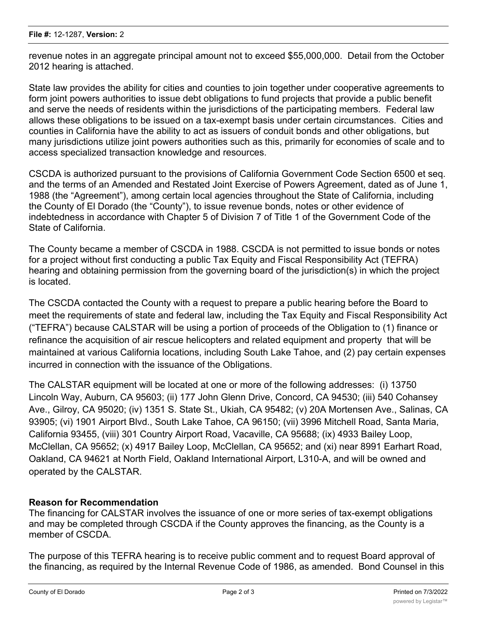revenue notes in an aggregate principal amount not to exceed \$55,000,000. Detail from the October 2012 hearing is attached.

State law provides the ability for cities and counties to join together under cooperative agreements to form joint powers authorities to issue debt obligations to fund projects that provide a public benefit and serve the needs of residents within the jurisdictions of the participating members. Federal law allows these obligations to be issued on a tax-exempt basis under certain circumstances. Cities and counties in California have the ability to act as issuers of conduit bonds and other obligations, but many jurisdictions utilize joint powers authorities such as this, primarily for economies of scale and to access specialized transaction knowledge and resources.

CSCDA is authorized pursuant to the provisions of California Government Code Section 6500 et seq. and the terms of an Amended and Restated Joint Exercise of Powers Agreement, dated as of June 1, 1988 (the "Agreement"), among certain local agencies throughout the State of California, including the County of El Dorado (the "County"), to issue revenue bonds, notes or other evidence of indebtedness in accordance with Chapter 5 of Division 7 of Title 1 of the Government Code of the State of California.

The County became a member of CSCDA in 1988. CSCDA is not permitted to issue bonds or notes for a project without first conducting a public Tax Equity and Fiscal Responsibility Act (TEFRA) hearing and obtaining permission from the governing board of the jurisdiction(s) in which the project is located.

The CSCDA contacted the County with a request to prepare a public hearing before the Board to meet the requirements of state and federal law, including the Tax Equity and Fiscal Responsibility Act ("TEFRA") because CALSTAR will be using a portion of proceeds of the Obligation to (1) finance or refinance the acquisition of air rescue helicopters and related equipment and property that will be maintained at various California locations, including South Lake Tahoe, and (2) pay certain expenses incurred in connection with the issuance of the Obligations.

The CALSTAR equipment will be located at one or more of the following addresses: (i) 13750 Lincoln Way, Auburn, CA 95603; (ii) 177 John Glenn Drive, Concord, CA 94530; (iii) 540 Cohansey Ave., Gilroy, CA 95020; (iv) 1351 S. State St., Ukiah, CA 95482; (v) 20A Mortensen Ave., Salinas, CA 93905; (vi) 1901 Airport Blvd., South Lake Tahoe, CA 96150; (vii) 3996 Mitchell Road, Santa Maria, California 93455, (viii) 301 Country Airport Road, Vacaville, CA 95688; (ix) 4933 Bailey Loop, McClellan, CA 95652; (x) 4917 Bailey Loop, McClellan, CA 95652; and (xi) near 8991 Earhart Road, Oakland, CA 94621 at North Field, Oakland International Airport, L310-A, and will be owned and operated by the CALSTAR.

#### **Reason for Recommendation**

The financing for CALSTAR involves the issuance of one or more series of tax-exempt obligations and may be completed through CSCDA if the County approves the financing, as the County is a member of CSCDA.

The purpose of this TEFRA hearing is to receive public comment and to request Board approval of the financing, as required by the Internal Revenue Code of 1986, as amended. Bond Counsel in this